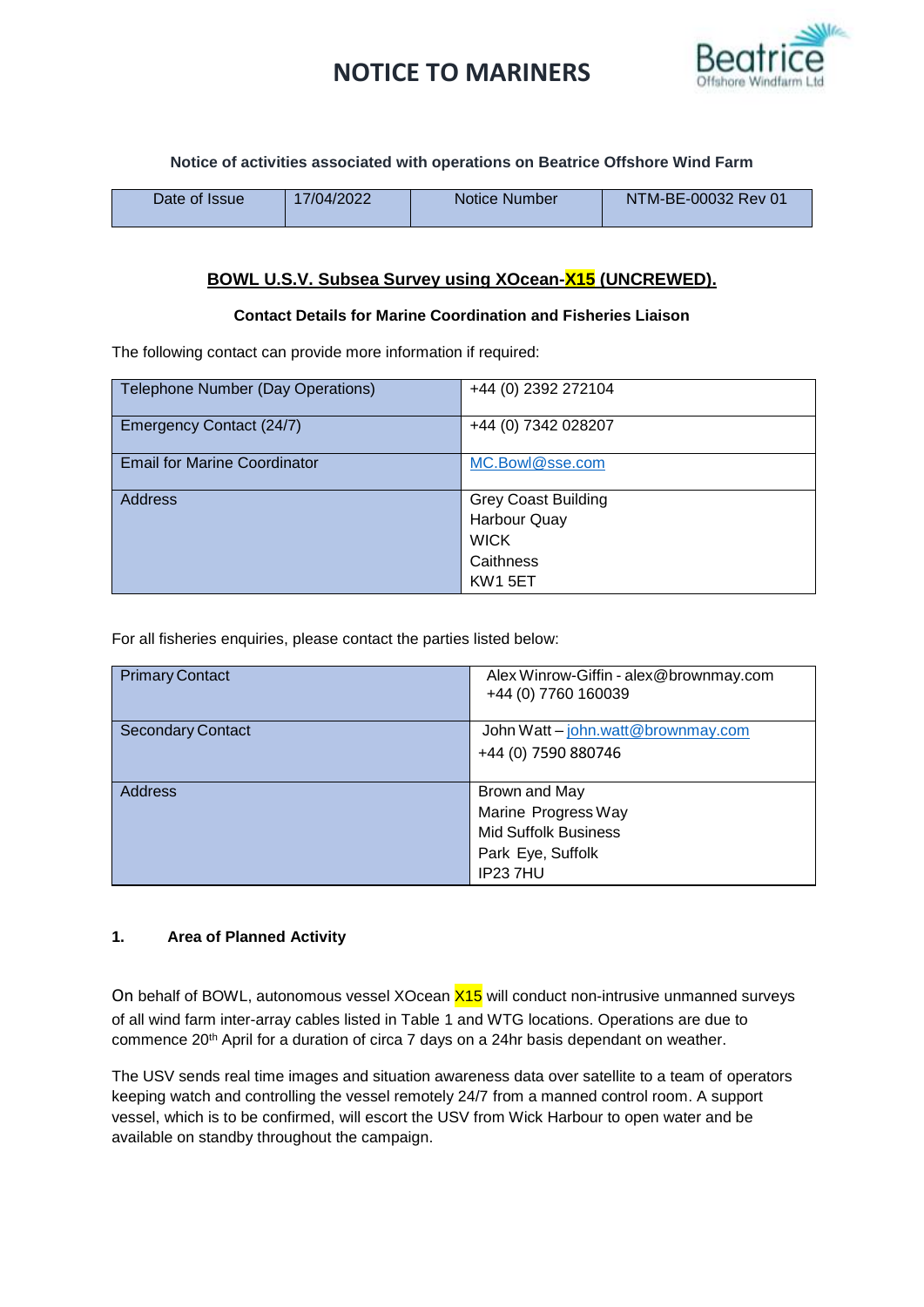# **NOTICE TO MARINERS**



## **Notice of activities associated with operations on Beatrice Offshore Wind Farm**

| Date of Issue | 17/04/2022 | Notice Number | NTM-BE-00032 Rev 01 |
|---------------|------------|---------------|---------------------|
|               |            |               |                     |

# **BOWL U.S.V. Subsea Survey using XOcean-X15 (UNCREWED).**

#### **Contact Details for Marine Coordination and Fisheries Liaison**

The following contact can provide more information if required:

| <b>Telephone Number (Day Operations)</b> | +44 (0) 2392 272104        |
|------------------------------------------|----------------------------|
| Emergency Contact (24/7)                 | +44 (0) 7342 028207        |
| <b>Email for Marine Coordinator</b>      | MC.Bowl@sse.com            |
| <b>Address</b>                           | <b>Grey Coast Building</b> |
|                                          | <b>Harbour Quay</b>        |
|                                          | <b>WICK</b>                |
|                                          | Caithness                  |
|                                          | <b>KW1 5ET</b>             |

For all fisheries enquiries, please contact the parties listed below:

| <b>Primary Contact</b>   | Alex Winrow-Giffin - alex@brownmay.com<br>+44 (0) 7760 160039 |
|--------------------------|---------------------------------------------------------------|
| <b>Secondary Contact</b> | John Watt - john.watt@brownmay.com                            |
|                          | +44 (0) 7590 880746                                           |
|                          |                                                               |
| <b>Address</b>           | Brown and May                                                 |
|                          | Marine Progress Way                                           |
|                          | <b>Mid Suffolk Business</b>                                   |
|                          | Park Eye, Suffolk                                             |
|                          | IP237HU                                                       |

## **1. Area of Planned Activity**

On behalf of BOWL, autonomous vessel XOcean  $X15$  will conduct non-intrusive unmanned surveys of all wind farm inter-array cables listed in Table 1 and WTG locations. Operations are due to commence 20th April for a duration of circa 7 days on a 24hr basis dependant on weather.

The USV sends real time images and situation awareness data over satellite to a team of operators keeping watch and controlling the vessel remotely 24/7 from a manned control room. A support vessel, which is to be confirmed, will escort the USV from Wick Harbour to open water and be available on standby throughout the campaign.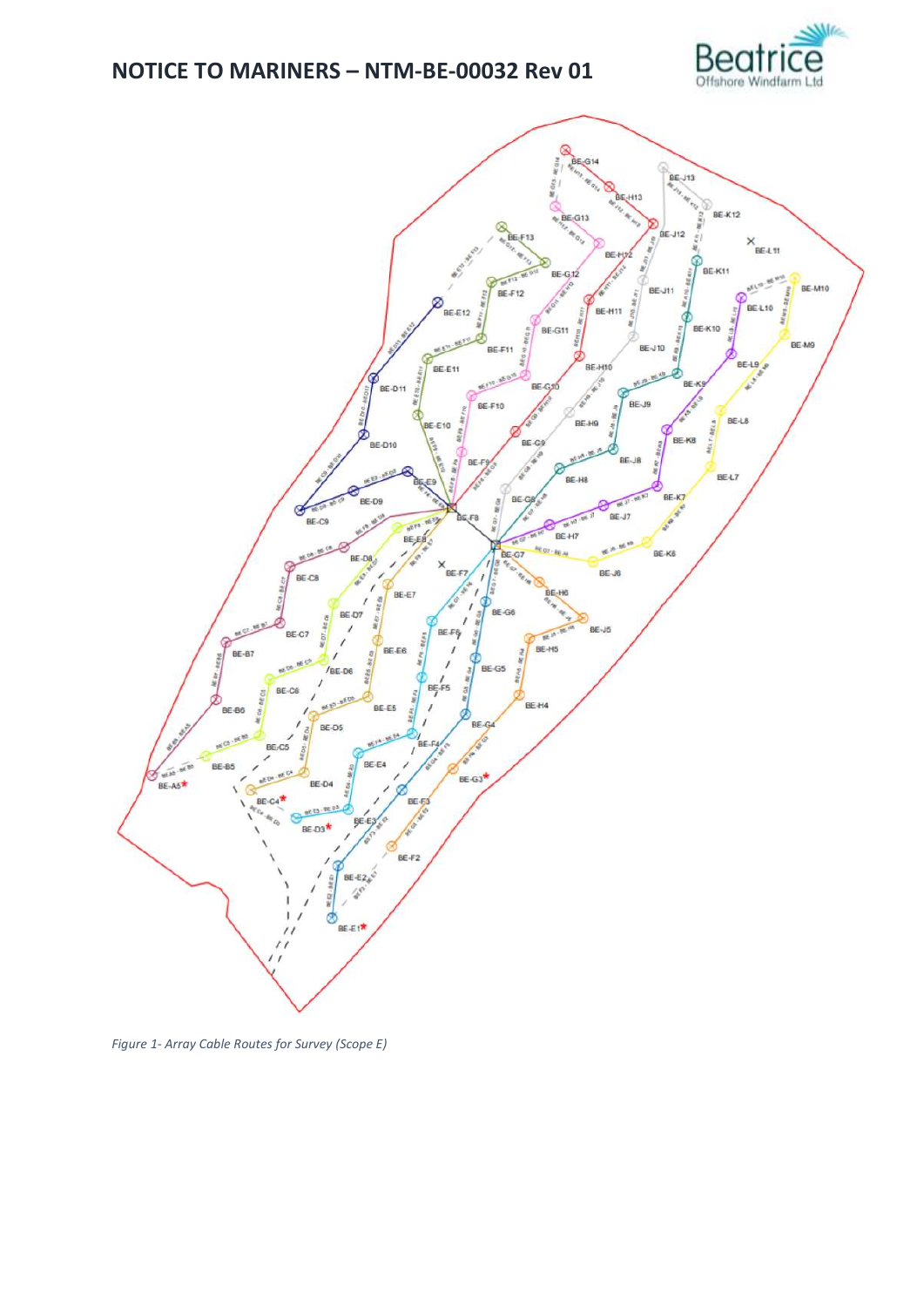



Figure 1- Array Cable Routes for Survey (Scope E)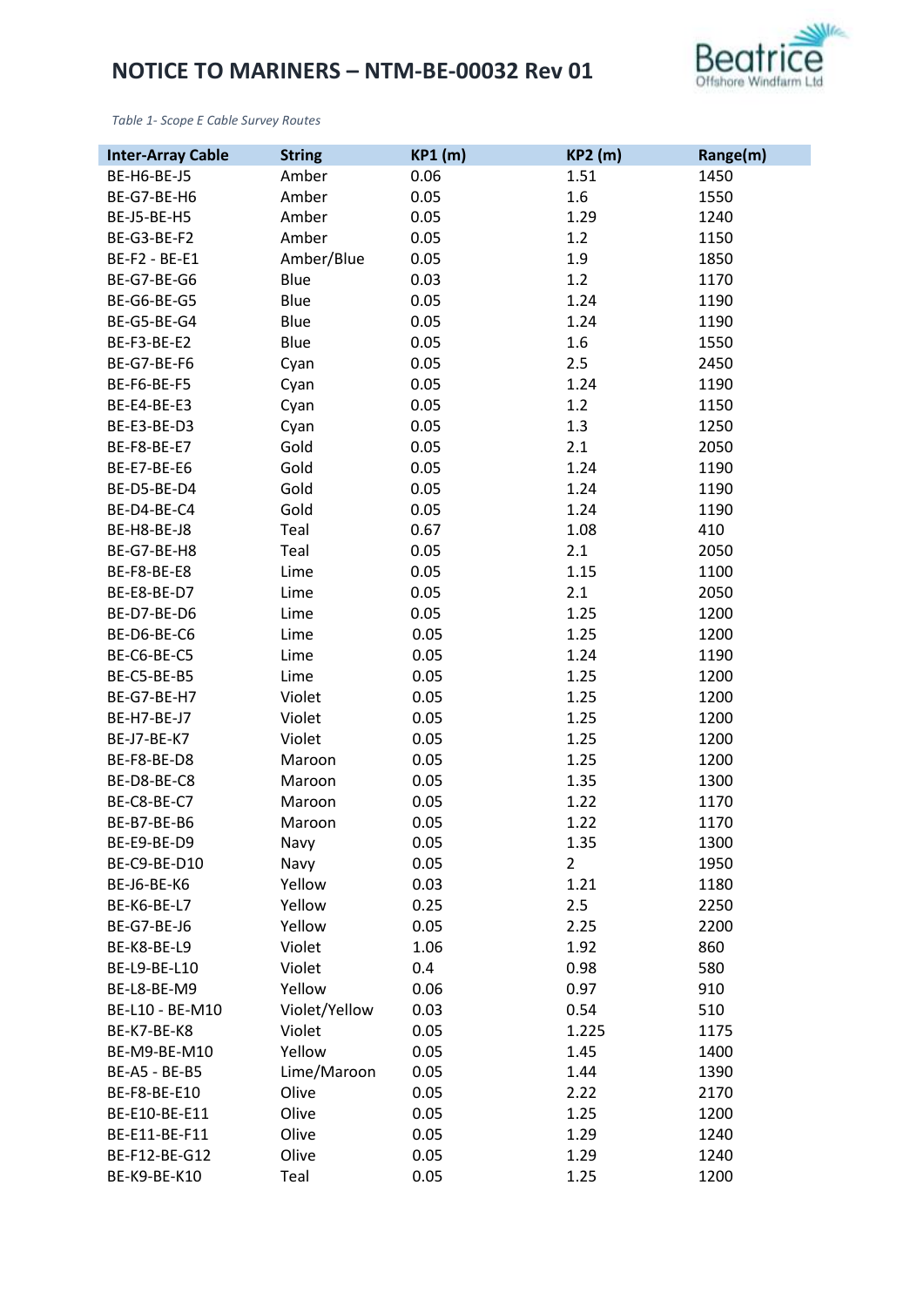

*Table 1- Scope E Cable Survey Routes*

| <b>Inter-Array Cable</b> | <b>String</b> | <b>KP1 (m)</b> | <b>KP2 (m)</b> | Range(m) |
|--------------------------|---------------|----------------|----------------|----------|
| BE-H6-BE-J5              | Amber         | 0.06           | 1.51           | 1450     |
| BE-G7-BE-H6              | Amber         | 0.05           | 1.6            | 1550     |
| BE-J5-BE-H5              | Amber         | 0.05           | 1.29           | 1240     |
| BE-G3-BE-F2              | Amber         | 0.05           | 1.2            | 1150     |
| BE-F2 - BE-E1            | Amber/Blue    | 0.05           | 1.9            | 1850     |
| BE-G7-BE-G6              | Blue          | 0.03           | 1.2            | 1170     |
| BE-G6-BE-G5              | Blue          | 0.05           | 1.24           | 1190     |
| BE-G5-BE-G4              | Blue          | 0.05           | 1.24           | 1190     |
| BE-F3-BE-E2              | Blue          | 0.05           | 1.6            | 1550     |
| BE-G7-BE-F6              | Cyan          | 0.05           | 2.5            | 2450     |
| BE-F6-BE-F5              | Cyan          | 0.05           | 1.24           | 1190     |
| BE-E4-BE-E3              | Cyan          | 0.05           | 1.2            | 1150     |
| BE-E3-BE-D3              | Cyan          | 0.05           | 1.3            | 1250     |
| BE-F8-BE-E7              | Gold          | 0.05           | 2.1            | 2050     |
| BE-E7-BE-E6              | Gold          | 0.05           | 1.24           | 1190     |
| BE-D5-BE-D4              | Gold          | 0.05           | 1.24           | 1190     |
| BE-D4-BE-C4              | Gold          | 0.05           | 1.24           | 1190     |
| BE-H8-BE-J8              | Teal          | 0.67           | 1.08           | 410      |
| BE-G7-BE-H8              | Teal          | 0.05           | 2.1            | 2050     |
| BE-F8-BE-E8              | Lime          | 0.05           | 1.15           | 1100     |
| BE-E8-BE-D7              | Lime          | 0.05           | 2.1            | 2050     |
| BE-D7-BE-D6              | Lime          | 0.05           | 1.25           | 1200     |
| BE-D6-BE-C6              | Lime          | 0.05           | 1.25           | 1200     |
| BE-C6-BE-C5              | Lime          | 0.05           | 1.24           | 1190     |
| BE-C5-BE-B5              |               |                |                |          |
|                          | Lime          | 0.05           | 1.25           | 1200     |
| BE-G7-BE-H7              | Violet        | 0.05           | 1.25           | 1200     |
| BE-H7-BE-J7              | Violet        | 0.05           | 1.25           | 1200     |
| BE-J7-BE-K7              | Violet        | 0.05           | 1.25           | 1200     |
| BE-F8-BE-D8              | Maroon        | 0.05           | 1.25           | 1200     |
| BE-D8-BE-C8              | Maroon        | 0.05           | 1.35           | 1300     |
| BE-C8-BE-C7              | Maroon        | 0.05           | 1.22           | 1170     |
| BE-B7-BE-B6              | Maroon        | 0.05           | 1.22           | 1170     |
| BE-E9-BE-D9              | Navy          | 0.05           | 1.35           | 1300     |
| BE-C9-BE-D10             | Navy          | 0.05           | 2              | 1950     |
| BE-J6-BE-K6              | Yellow        | 0.03           | 1.21           | 1180     |
| BE-K6-BE-L7              | Yellow        | 0.25           | 2.5            | 2250     |
| <b>BE-G7-BE-J6</b>       | Yellow        | 0.05           | 2.25           | 2200     |
| BE-K8-BE-L9              | Violet        | 1.06           | 1.92           | 860      |
| BE-L9-BE-L10             | Violet        | 0.4            | 0.98           | 580      |
| BE-L8-BE-M9              | Yellow        | 0.06           | 0.97           | 910      |
| BE-L10 - BE-M10          | Violet/Yellow | 0.03           | 0.54           | 510      |
| BE-K7-BE-K8              | Violet        | 0.05           | 1.225          | 1175     |
| BE-M9-BE-M10             | Yellow        | 0.05           | 1.45           | 1400     |
| BE-A5 - BE-B5            | Lime/Maroon   | 0.05           | 1.44           | 1390     |
| BE-F8-BE-E10             | Olive         | 0.05           | 2.22           | 2170     |
| BE-E10-BE-E11            | Olive         | 0.05           | 1.25           | 1200     |
| BE-E11-BE-F11            | Olive         | 0.05           | 1.29           | 1240     |
| BE-F12-BE-G12            | Olive         | 0.05           | 1.29           | 1240     |
| BE-K9-BE-K10             | Teal          | 0.05           | 1.25           | 1200     |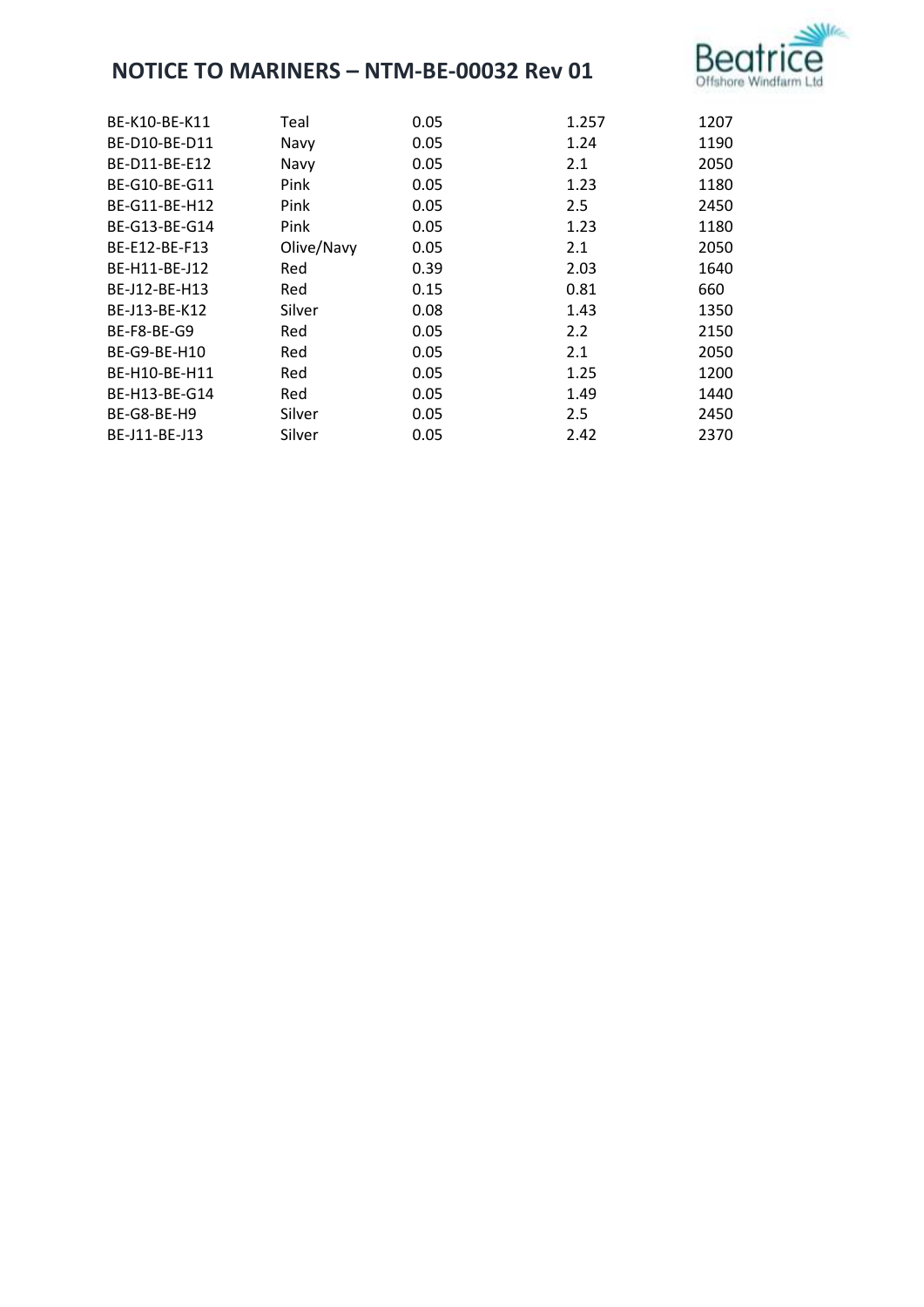

| BE-K10-BE-K11 | Teal       | 0.05 | 1.257 | 1207 |
|---------------|------------|------|-------|------|
| BE-D10-BE-D11 | Navy       | 0.05 | 1.24  | 1190 |
| BE-D11-BE-E12 | Navy       | 0.05 | 2.1   | 2050 |
| BE-G10-BE-G11 | Pink       | 0.05 | 1.23  | 1180 |
| BE-G11-BE-H12 | Pink       | 0.05 | 2.5   | 2450 |
| BE-G13-BE-G14 | Pink       | 0.05 | 1.23  | 1180 |
| BE-E12-BE-F13 | Olive/Navy | 0.05 | 2.1   | 2050 |
| BE-H11-BE-J12 | Red        | 0.39 | 2.03  | 1640 |
| BE-J12-BE-H13 | Red        | 0.15 | 0.81  | 660  |
| BE-J13-BE-K12 | Silver     | 0.08 | 1.43  | 1350 |
| BE-F8-BE-G9   | Red        | 0.05 | 2.2   | 2150 |
| BE-G9-BE-H10  | Red        | 0.05 | 2.1   | 2050 |
| BE-H10-BE-H11 | Red        | 0.05 | 1.25  | 1200 |
| BE-H13-BE-G14 | Red        | 0.05 | 1.49  | 1440 |
| BE-G8-BE-H9   | Silver     | 0.05 | 2.5   | 2450 |
| BE-J11-BE-J13 | Silver     | 0.05 | 2.42  | 2370 |
|               |            |      |       |      |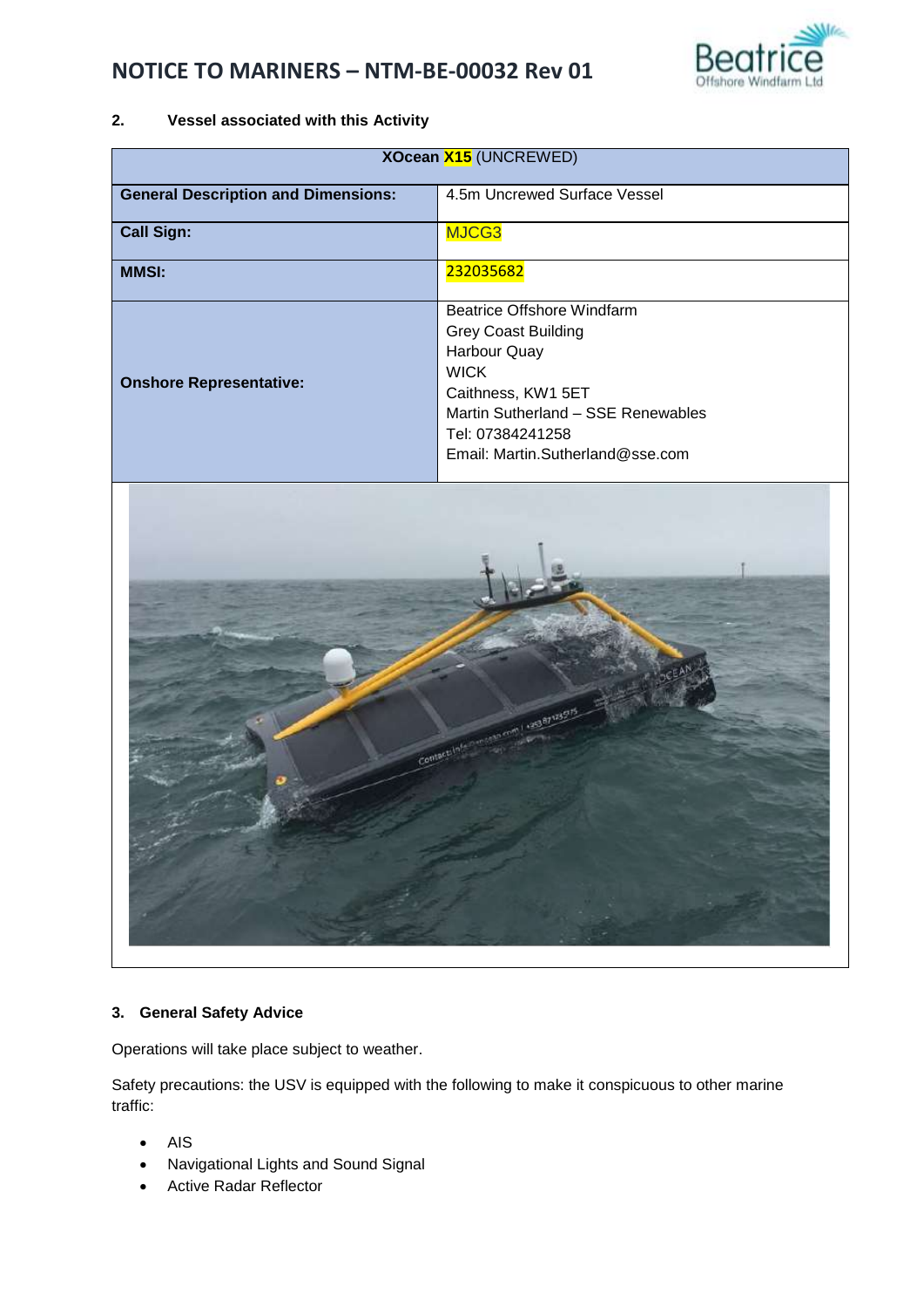

# **2. Vessel associated with this Activity**

| <b>XOcean X15 (UNCREWED)</b>               |                                                                                                                                                                                                             |  |
|--------------------------------------------|-------------------------------------------------------------------------------------------------------------------------------------------------------------------------------------------------------------|--|
| <b>General Description and Dimensions:</b> | 4.5m Uncrewed Surface Vessel                                                                                                                                                                                |  |
| <b>Call Sign:</b>                          | MJCG3                                                                                                                                                                                                       |  |
| <b>MMSI:</b>                               | 232035682                                                                                                                                                                                                   |  |
| <b>Onshore Representative:</b>             | Beatrice Offshore Windfarm<br><b>Grey Coast Building</b><br>Harbour Quay<br><b>WICK</b><br>Caithness, KW1 5ET<br>Martin Sutherland - SSE Renewables<br>Tel: 07384241258<br>Email: Martin.Sutherland@sse.com |  |



## **3. General Safety Advice**

Operations will take place subject to weather.

Safety precautions: the USV is equipped with the following to make it conspicuous to other marine traffic:

- AIS
- Navigational Lights and Sound Signal
- Active Radar Reflector